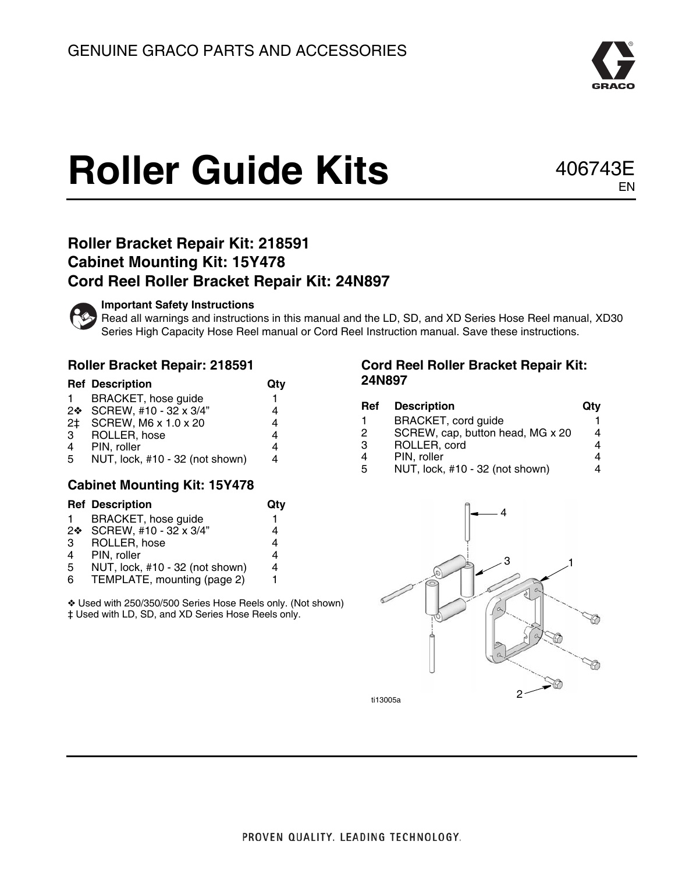

# **Roller Guide Kits** 406743E

## EN

#### **Roller Bracket Repair Kit: 218591 Cabinet Mounting Kit: 15Y478 Cord Reel Roller Bracket Repair Kit: 24N897**



#### **Important Safety Instructions**

Read all warnings and instructions in this manual and the LD, SD, and XD Series Hose Reel manual, XD30 Series High Capacity Hose Reel manual or Cord Reel Instruction manual. Save these instructions.

#### **Roller Bracket Repair: 218591**

|              | <b>Ref Description</b>          | Qty |
|--------------|---------------------------------|-----|
| $\mathbf{1}$ | BRACKET, hose guide             |     |
|              | 2❖ SCREW, #10 - 32 x 3/4"       |     |
| 2‡           | SCREW, M6 x 1.0 x 20            | 4   |
| 3            | ROLLER, hose                    | 4   |
| 4            | PIN, roller                     | 4   |
| 5            | NUT, lock, #10 - 32 (not shown) | 4   |

#### **Cabinet Mounting Kit: 15Y478**

|    | <b>Ref Description</b>          | Qtv |
|----|---------------------------------|-----|
| 1. | <b>BRACKET, hose guide</b>      | 1   |
|    | 2❖ SCREW, #10 - 32 x 3/4"       | 4   |
| 3  | ROLLER, hose                    | 4   |
| 4  | PIN, roller                     | 4   |
| 5  | NUT, lock, #10 - 32 (not shown) | 4   |
| 6  | TEMPLATE, mounting (page 2)     | 1   |
|    |                                 |     |

 Used with 250/350/500 Series Hose Reels only. (Not shown) ‡ Used with LD, SD, and XD Series Hose Reels only.

#### **Cord Reel Roller Bracket Repair Kit: 24N897**

| Ref | <b>Description</b>               | Qtv |
|-----|----------------------------------|-----|
|     | BRACKET, cord guide              |     |
| 2   | SCREW, cap, button head, MG x 20 |     |
| 3   | ROLLER, cord                     |     |
| 4   | PIN, roller                      |     |
| 5   | NUT, lock, #10 - 32 (not shown)  |     |
|     |                                  |     |



ti13005a